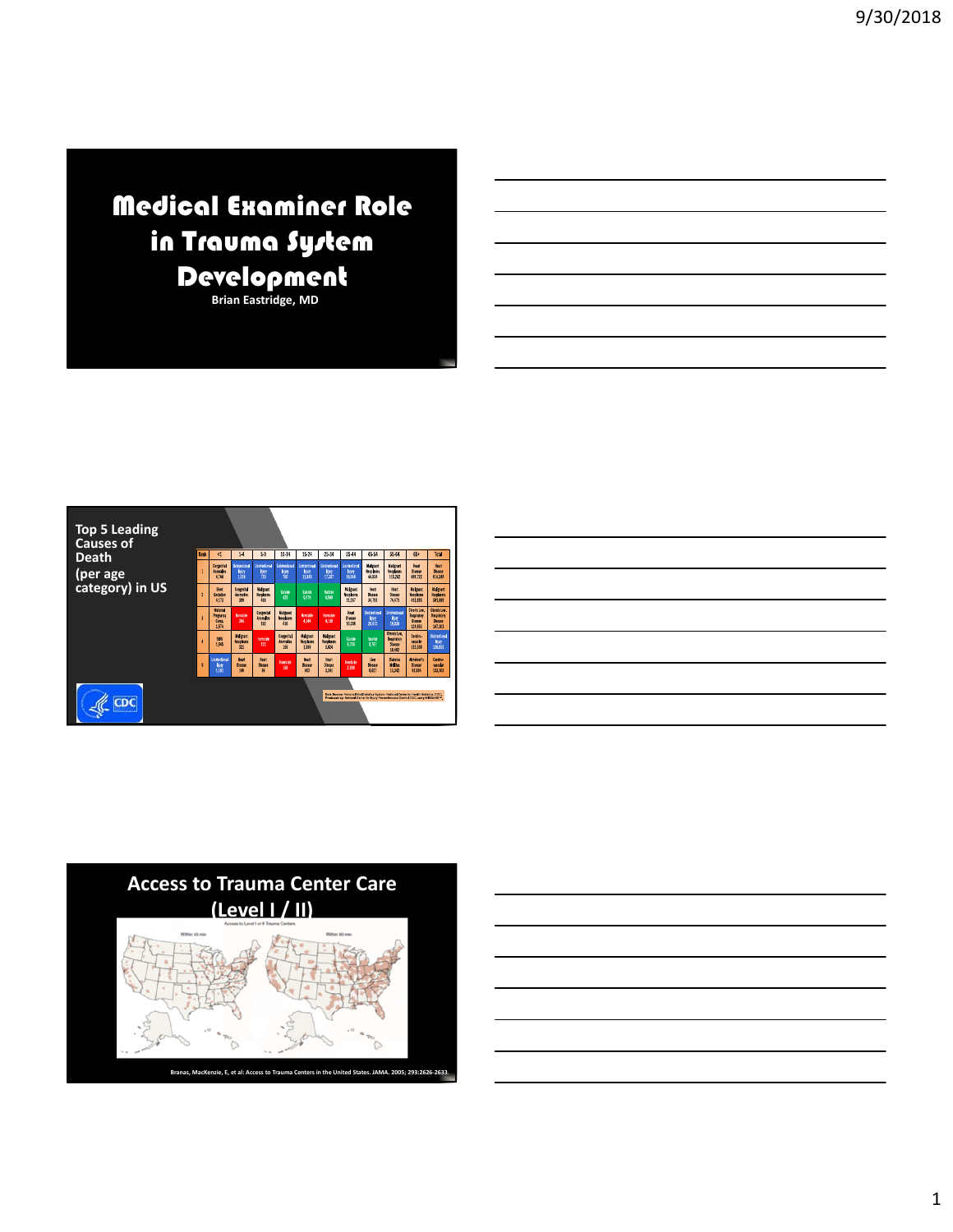# Medical Examiner Role in Trauma System Development

**Brian Eastridge, MD**



|  | <u> 1989 - Johann Stoff, deutscher Stoff, der Stoff, der Stoff, der Stoff, der Stoff, der Stoff, der Stoff, der S</u> |  |  |
|--|-----------------------------------------------------------------------------------------------------------------------|--|--|
|  | <u> Andreas Andreas Andreas Andreas Andreas Andreas Andreas Andreas Andreas Andreas Andreas Andreas Andreas Andr</u>  |  |  |
|  |                                                                                                                       |  |  |
|  | <u> 1989 - Johann Stoff, amerikansk fotograf i stoff og det format i stoff og det format format i stoff og det f</u>  |  |  |
|  |                                                                                                                       |  |  |
|  |                                                                                                                       |  |  |
|  |                                                                                                                       |  |  |

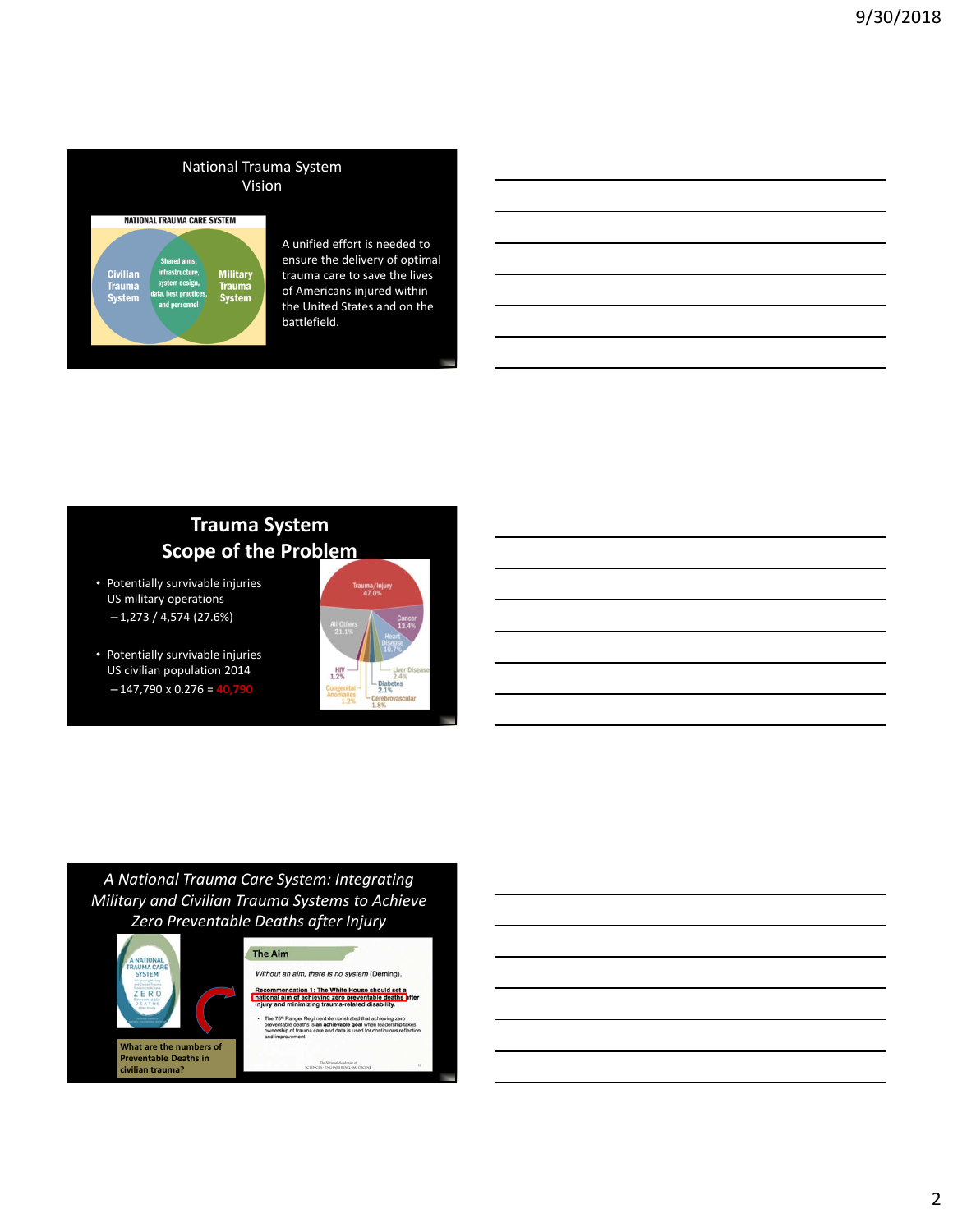## National Trauma System Vision



A unified effort is needed to ensure the delivery of optimal trauma care to save the lives of Americans injured within the United States and on the battlefield.

## **Trauma System Scope of the Problem**

- Potentially survivable injuries US military operations – 1,273 / 4,574 (27.6%)
- Potentially survivable injuries US civilian population 2014  $-147,790 \times 0.276 = 40$



*A National Trauma Care System: Integrating Military and Civilian Trauma Systems to Achieve Zero Preventable Deaths after Injury*

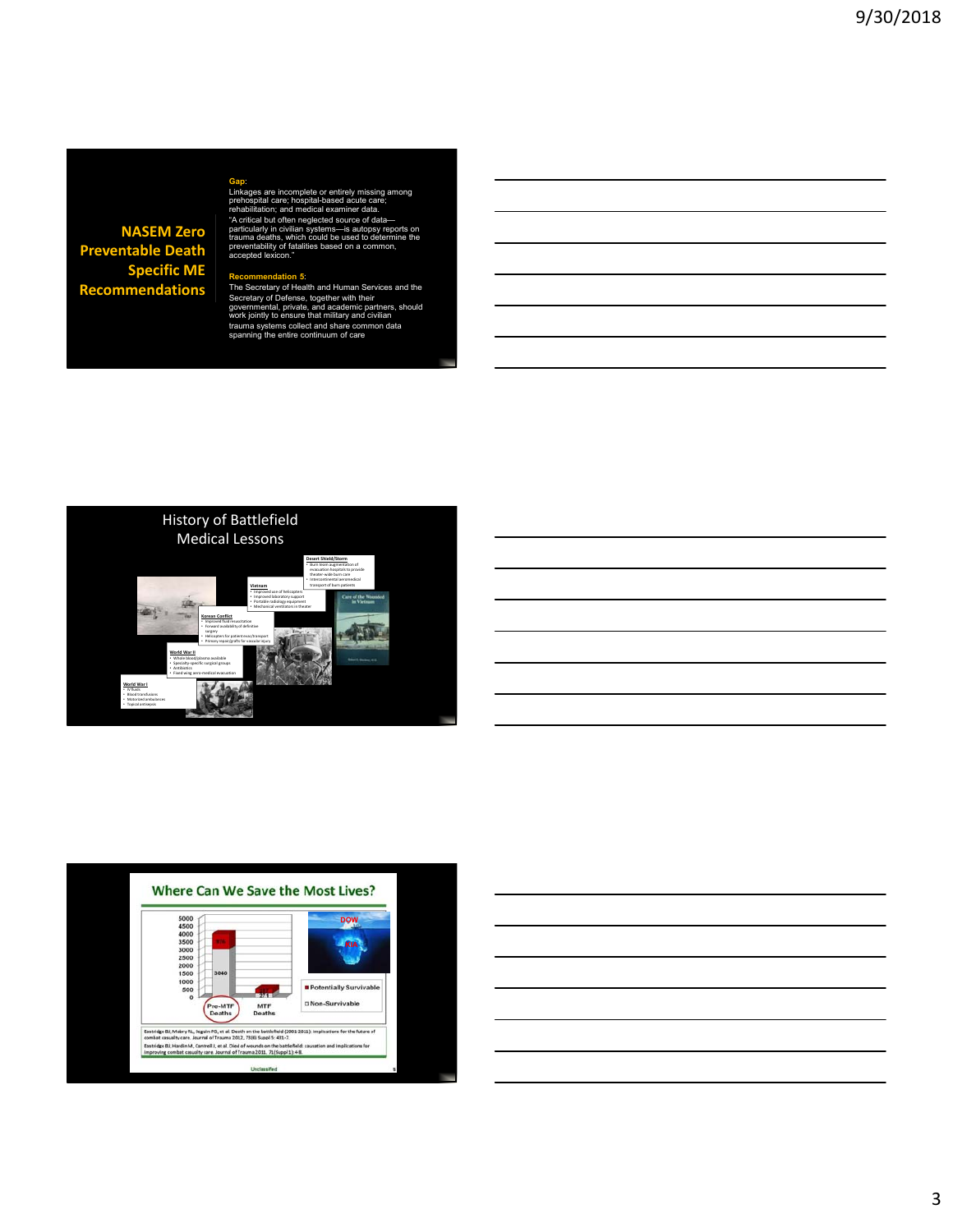### **Gap**:

**NASEM Zero Preventable Death Specific ME Recommendations**

Linkages are incomplete or entirely missing among prehospital care; hospital-based acute care; rehabilitation; and medical examiner data. "A critical but often neglected source of data particularly in civilian systems—is autopsy reports on trauma deaths, which could be used to determine the preventability of fatalities based on a common, accepted lexicon."

**Recommendation 5**: The Secretary of Health and Human Services and the Secretary of Defense, together with their governmental, private, and academic partners, should work jointly to ensure that military and civilian trauma systems collect and share common data spanning the entire continuum of care





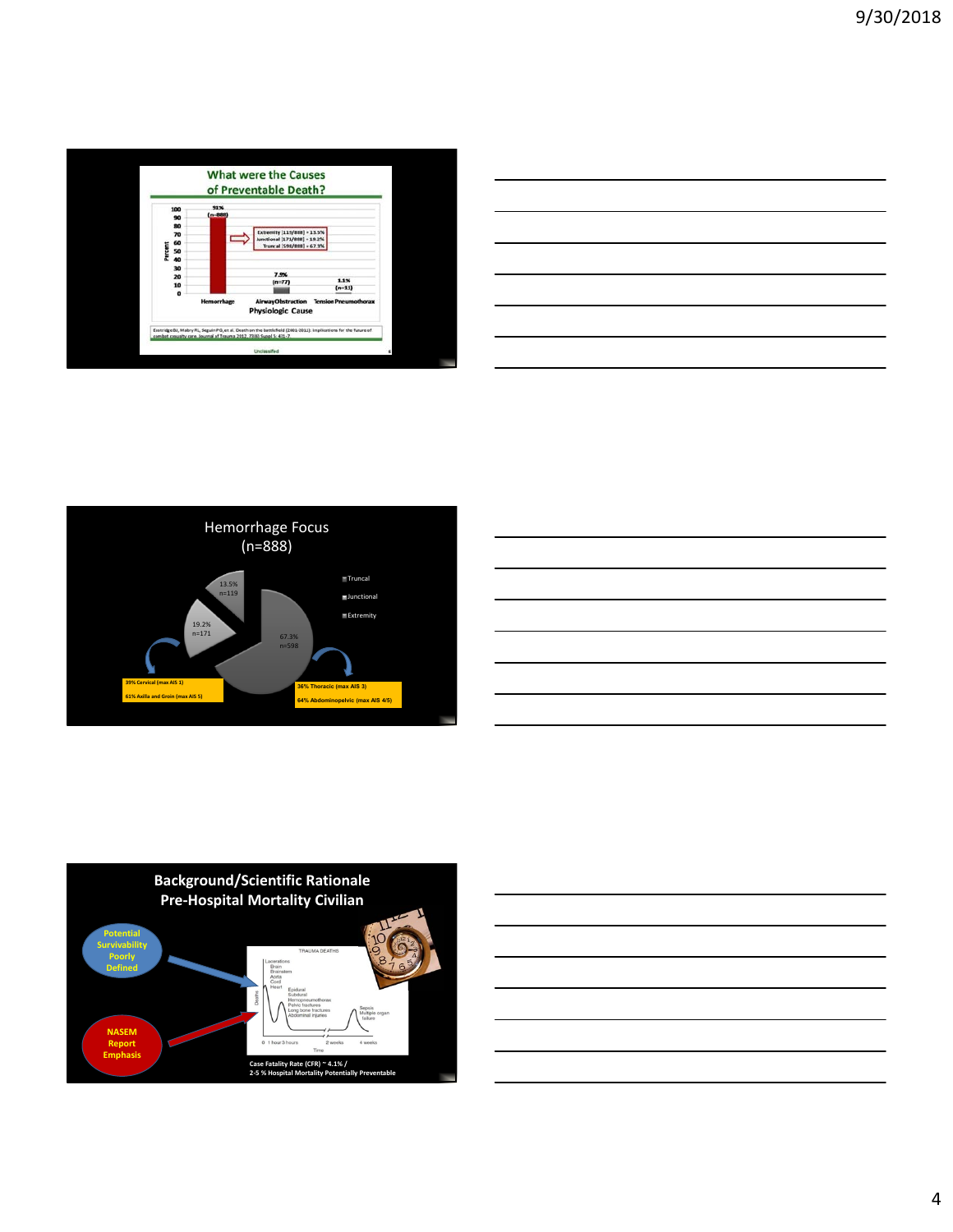







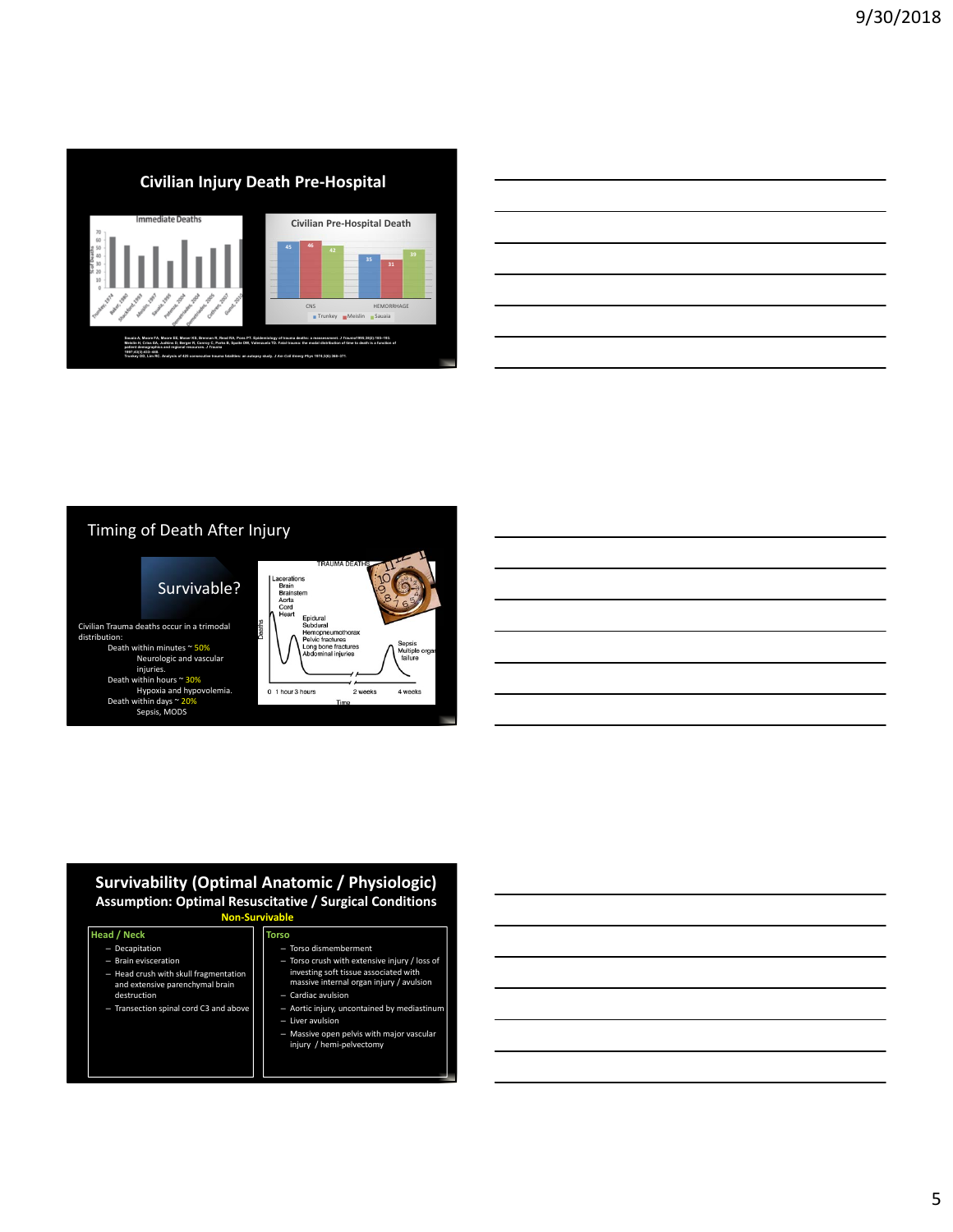## **Civilian Injury Death Pre‐Hospital Immediate Deaths Civilian Pre‐Hospital Death 46 45 <sup>42</sup> <sup>39</sup>** CNS HEMORRHAGE<br>Trunkey Meislin Sauaia nkey Me **Sauaia A, Moore FA, Moore EE, Moser KS, Brennan R, Read RA, Pons PT. Epidemiology of trauma deaths: a reassessment.** *J Trauma***1995;38(2):185–193. Meislin H, Criss EA, Judkins D, Berger R, Conroy C, Parks B, Spaite DW, Valenzuela TD. Fatal trauma: the modal distribution of time to death is a function of patient demographics and regional resources.** *J Trauma* **1997;43(3):433–440. Trunkey DD, Lim RC. Analysis of 425 consecutive trauma fatalities: an autopsy study.** *J Am Coll Emerg Phys* **1974;3(6):368–371**.

| and the control of the control of the control of the control of the control of the control of the control of the |  |  |
|------------------------------------------------------------------------------------------------------------------|--|--|
|                                                                                                                  |  |  |
| $\overline{\phantom{a}}$                                                                                         |  |  |
|                                                                                                                  |  |  |
|                                                                                                                  |  |  |
|                                                                                                                  |  |  |



## **Survivability (Optimal Anatomic / Physiologic)**

**Assumption: Optimal Resuscitative / Surgical Conditions Non‐Survivable**

## **Head / Neck**

- Decapitation
- Brain evisceration
- Head crush with skull fragmentation and extensive parenchymal brain destruction
- Transection spinal cord C3 and above

## **Torso**

- Torso dismemberment – Torso crush with extensive injury / loss of investing soft tissue associated with massive internal organ injury / avulsion
- Cardiac avulsion – Aortic injury, uncontained by mediastinum
- Liver avulsion
- Massive open pelvis with major vascular injury / hemi‐pelvectomy